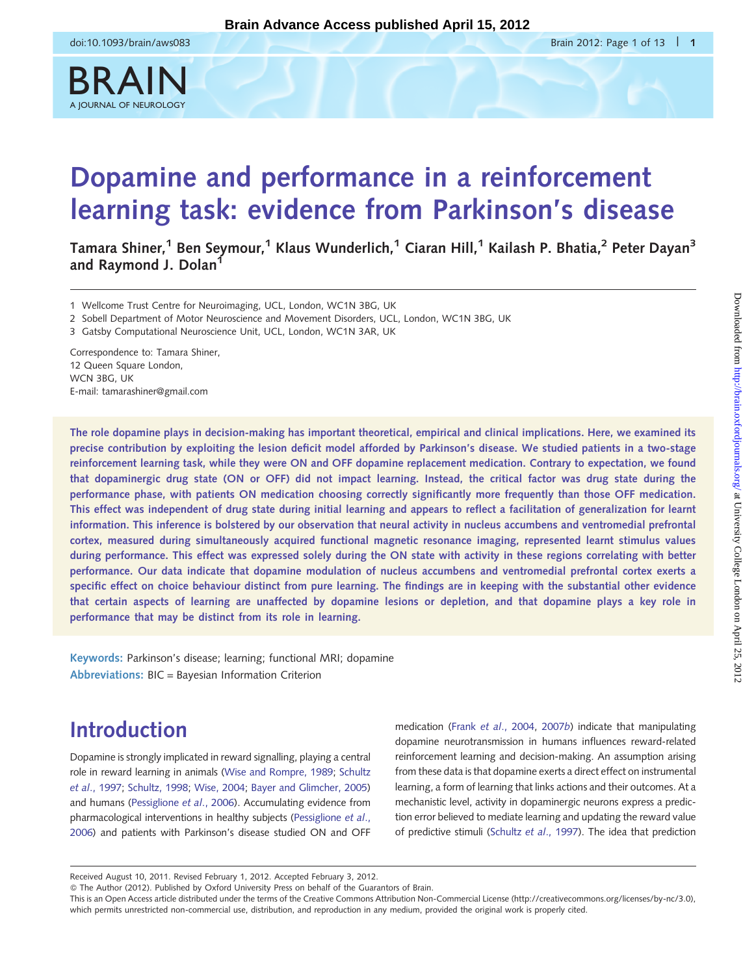

# Dopamine and performance in a reinforcement learning task: evidence from Parkinson's disease

Tamara Shiner,<sup>1</sup> Ben Seymour,<sup>1</sup> Klaus Wunderlich,<sup>1</sup> Ciaran Hill,<sup>1</sup> Kailash P. Bhatia,<sup>2</sup> Peter Dayan<sup>3</sup> and Raymond J. Dolan<sup>1</sup>

1 Wellcome Trust Centre for Neuroimaging, UCL, London, WC1N 3BG, UK

2 Sobell Department of Motor Neuroscience and Movement Disorders, UCL, London, WC1N 3BG, UK

3 Gatsby Computational Neuroscience Unit, UCL, London, WC1N 3AR, UK

Correspondence to: Tamara Shiner, 12 Queen Square London, WCN 3BG, UK E-mail: tamarashiner@gmail.com

The role dopamine plays in decision-making has important theoretical, empirical and clinical implications. Here, we examined its precise contribution by exploiting the lesion deficit model afforded by Parkinson's disease. We studied patients in a two-stage reinforcement learning task, while they were ON and OFF dopamine replacement medication. Contrary to expectation, we found that dopaminergic drug state (ON or OFF) did not impact learning. Instead, the critical factor was drug state during the performance phase, with patients ON medication choosing correctly significantly more frequently than those OFF medication. This effect was independent of drug state during initial learning and appears to reflect a facilitation of generalization for learnt information. This inference is bolstered by our observation that neural activity in nucleus accumbens and ventromedial prefrontal cortex, measured during simultaneously acquired functional magnetic resonance imaging, represented learnt stimulus values during performance. This effect was expressed solely during the ON state with activity in these regions correlating with better performance. Our data indicate that dopamine modulation of nucleus accumbens and ventromedial prefrontal cortex exerts a specific effect on choice behaviour distinct from pure learning. The findings are in keeping with the substantial other evidence that certain aspects of learning are unaffected by dopamine lesions or depletion, and that dopamine plays a key role in performance that may be distinct from its role in learning.

Keywords: Parkinson's disease; learning; functional MRI; dopamine Abbreviations: BIC = Bayesian Information Criterion

## Introduction

Dopamine is strongly implicated in reward signalling, playing a central role in reward learning in animals [\(Wise and Rompre, 1989](#page-12-0); [Schultz](#page-12-0) et al[., 1997;](#page-12-0) [Schultz, 1998;](#page-12-0) [Wise, 2004;](#page-12-0) [Bayer and Glimcher, 2005\)](#page-10-0) and humans ([Pessiglione](#page-12-0) et al., 2006). Accumulating evidence from pharmacological interventions in healthy subjects [\(Pessiglione](#page-12-0) et al., [2006](#page-12-0)) and patients with Parkinson's disease studied ON and OFF medication (Frank et al[., 2004](#page-11-0), [2007](#page-11-0)b) indicate that manipulating dopamine neurotransmission in humans influences reward-related reinforcement learning and decision-making. An assumption arising from these data is that dopamine exerts a direct effect on instrumental learning, a form of learning that links actions and their outcomes. At a mechanistic level, activity in dopaminergic neurons express a prediction error believed to mediate learning and updating the reward value of predictive stimuli (Schultz et al[., 1997\)](#page-12-0). The idea that prediction

Received August 10, 2011. Revised February 1, 2012. Accepted February 3, 2012.

- The Author (2012). Published by Oxford University Press on behalf of the Guarantors of Brain.

This is an Open Access article distributed under the terms of the Creative Commons Attribution Non-Commercial License (http://creativecommons.org/licenses/by-nc/3.0), which permits unrestricted non-commercial use, distribution, and reproduction in any medium, provided the original work is properly cited.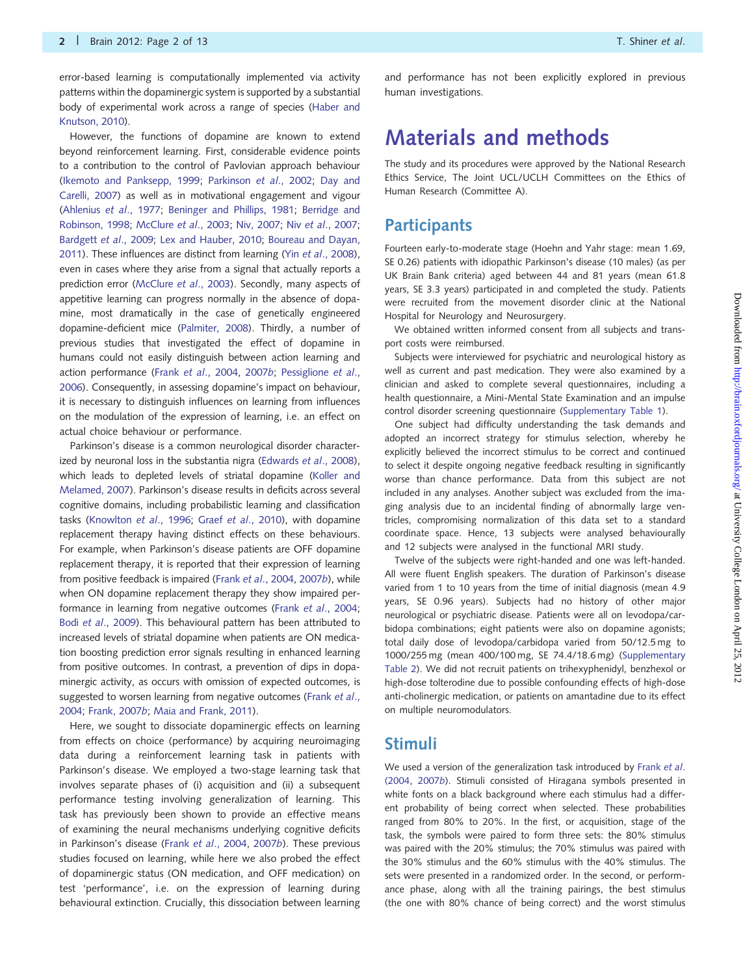error-based learning is computationally implemented via activity patterns within the dopaminergic system is supported by a substantial body of experimental work across a range of species [\(Haber and](#page-11-0) [Knutson, 2010\)](#page-11-0).

However, the functions of dopamine are known to extend beyond reinforcement learning. First, considerable evidence points to a contribution to the control of Pavlovian approach behaviour [\(Ikemoto and Panksepp, 1999](#page-11-0); [Parkinson](#page-12-0) et al., 2002; [Day and](#page-11-0) [Carelli, 2007](#page-11-0)) as well as in motivational engagement and vigour [\(Ahlenius](#page-10-0) et al., 1977; [Beninger and Phillips, 1981;](#page-10-0) [Berridge and](#page-11-0) [Robinson, 1998](#page-11-0); [McClure](#page-11-0) et al., 2003; [Niv, 2007](#page-11-0); Niv et al[., 2007;](#page-11-0) [Bardgett](#page-10-0) et al., 2009; [Lex and Hauber, 2010](#page-11-0); [Boureau and Dayan,](#page-11-0) [2011\)](#page-11-0). These influences are distinct from learning (Yin et al[., 2008](#page-12-0)), even in cases where they arise from a signal that actually reports a prediction error [\(McClure](#page-11-0) et al., 2003). Secondly, many aspects of appetitive learning can progress normally in the absence of dopamine, most dramatically in the case of genetically engineered dopamine-deficient mice ([Palmiter, 2008](#page-12-0)). Thirdly, a number of previous studies that investigated the effect of dopamine in humans could not easily distinguish between action learning and action performance (Frank et al[., 2004,](#page-11-0) [2007](#page-11-0)b; [Pessiglione](#page-12-0) et al., [2006\)](#page-12-0). Consequently, in assessing dopamine's impact on behaviour, it is necessary to distinguish influences on learning from influences on the modulation of the expression of learning, i.e. an effect on actual choice behaviour or performance.

Parkinson's disease is a common neurological disorder character-ized by neuronal loss in the substantia nigra [\(Edwards](#page-11-0) et al[., 2008](#page-11-0)), which leads to depleted levels of striatal dopamine [\(Koller and](#page-11-0) [Melamed, 2007](#page-11-0)). Parkinson's disease results in deficits across several cognitive domains, including probabilistic learning and classification tasks [\(Knowlton](#page-11-0) et al., 1996; Graef et al[., 2010](#page-11-0)), with dopamine replacement therapy having distinct effects on these behaviours. For example, when Parkinson's disease patients are OFF dopamine replacement therapy, it is reported that their expression of learning from positive feedback is impaired (Frank et al[., 2004](#page-11-0), [2007](#page-11-0)b), while when ON dopamine replacement therapy they show impaired performance in learning from negative outcomes (Frank et al[., 2004;](#page-11-0) Bodi et al[., 2009](#page-11-0)). This behavioural pattern has been attributed to increased levels of striatal dopamine when patients are ON medication boosting prediction error signals resulting in enhanced learning from positive outcomes. In contrast, a prevention of dips in dopaminergic activity, as occurs with omission of expected outcomes, is suggested to worsen learning from negative outcomes [\(Frank](#page-11-0) et al., [2004;](#page-11-0) [Frank, 2007](#page-11-0)b; [Maia and Frank, 2011\)](#page-11-0).

Here, we sought to dissociate dopaminergic effects on learning from effects on choice (performance) by acquiring neuroimaging data during a reinforcement learning task in patients with Parkinson's disease. We employed a two-stage learning task that involves separate phases of (i) acquisition and (ii) a subsequent performance testing involving generalization of learning. This task has previously been shown to provide an effective means of examining the neural mechanisms underlying cognitive deficits in Parkinson's disease (Frank et al[., 2004](#page-11-0), [2007](#page-11-0)b). These previous studies focused on learning, while here we also probed the effect of dopaminergic status (ON medication, and OFF medication) on test 'performance', i.e. on the expression of learning during behavioural extinction. Crucially, this dissociation between learning and performance has not been explicitly explored in previous human investigations.

## Materials and methods

The study and its procedures were approved by the National Research Ethics Service, The Joint UCL/UCLH Committees on the Ethics of Human Research (Committee A).

### **Participants**

Fourteen early-to-moderate stage (Hoehn and Yahr stage: mean 1.69, SE 0.26) patients with idiopathic Parkinson's disease (10 males) (as per UK Brain Bank criteria) aged between 44 and 81 years (mean 61.8 years, SE 3.3 years) participated in and completed the study. Patients were recruited from the movement disorder clinic at the National Hospital for Neurology and Neurosurgery.

We obtained written informed consent from all subjects and transport costs were reimbursed.

Subjects were interviewed for psychiatric and neurological history as well as current and past medication. They were also examined by a clinician and asked to complete several questionnaires, including a health questionnaire, a Mini-Mental State Examination and an impulse control disorder screening questionnaire ([Supplementary Table 1](http://brain.oxfordjournals.org/cgi/content/full/aws083/DC1)).

One subject had difficulty understanding the task demands and adopted an incorrect strategy for stimulus selection, whereby he explicitly believed the incorrect stimulus to be correct and continued to select it despite ongoing negative feedback resulting in significantly worse than chance performance. Data from this subject are not included in any analyses. Another subject was excluded from the imaging analysis due to an incidental finding of abnormally large ventricles, compromising normalization of this data set to a standard coordinate space. Hence, 13 subjects were analysed behaviourally and 12 subjects were analysed in the functional MRI study.

Twelve of the subjects were right-handed and one was left-handed. All were fluent English speakers. The duration of Parkinson's disease varied from 1 to 10 years from the time of initial diagnosis (mean 4.9 years, SE 0.96 years). Subjects had no history of other major neurological or psychiatric disease. Patients were all on levodopa/carbidopa combinations; eight patients were also on dopamine agonists; total daily dose of levodopa/carbidopa varied from 50/12.5 mg to 1000/255 mg (mean 400/100 mg, SE 74.4/18.6 mg) ([Supplementary](http://brain.oxfordjournals.org/cgi/content/full/aws083/DC1) [Table 2\)](http://brain.oxfordjournals.org/cgi/content/full/aws083/DC1). We did not recruit patients on trihexyphenidyl, benzhexol or high-dose tolterodine due to possible confounding effects of high-dose anti-cholinergic medication, or patients on amantadine due to its effect on multiple neuromodulators.

### Stimuli

We used a version of the generalization task introduced by [Frank](#page-11-0) et al. [\(2004](#page-11-0), [2007](#page-11-0)b). Stimuli consisted of Hiragana symbols presented in white fonts on a black background where each stimulus had a different probability of being correct when selected. These probabilities ranged from 80% to 20%. In the first, or acquisition, stage of the task, the symbols were paired to form three sets: the 80% stimulus was paired with the 20% stimulus; the 70% stimulus was paired with the 30% stimulus and the 60% stimulus with the 40% stimulus. The sets were presented in a randomized order. In the second, or performance phase, along with all the training pairings, the best stimulus (the one with 80% chance of being correct) and the worst stimulus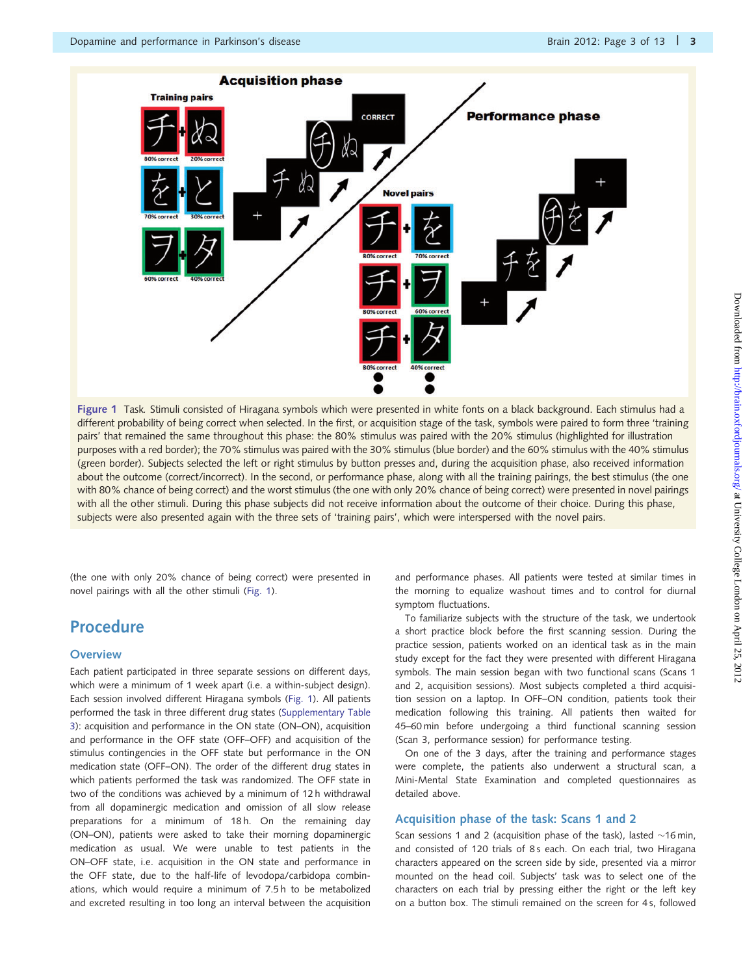<span id="page-2-0"></span>

Figure 1 Task. Stimuli consisted of Hiragana symbols which were presented in white fonts on a black background. Each stimulus had a different probability of being correct when selected. In the first, or acquisition stage of the task, symbols were paired to form three 'training pairs' that remained the same throughout this phase: the 80% stimulus was paired with the 20% stimulus (highlighted for illustration purposes with a red border); the 70% stimulus was paired with the 30% stimulus (blue border) and the 60% stimulus with the 40% stimulus (green border). Subjects selected the left or right stimulus by button presses and, during the acquisition phase, also received information about the outcome (correct/incorrect). In the second, or performance phase, along with all the training pairings, the best stimulus (the one with 80% chance of being correct) and the worst stimulus (the one with only 20% chance of being correct) were presented in novel pairings with all the other stimuli. During this phase subjects did not receive information about the outcome of their choice. During this phase, subjects were also presented again with the three sets of 'training pairs', which were interspersed with the novel pairs.

(the one with only 20% chance of being correct) were presented in novel pairings with all the other stimuli (Fig. 1).

### Procedure

#### **Overview**

Each patient participated in three separate sessions on different days, which were a minimum of 1 week apart (i.e. a within-subject design). Each session involved different Hiragana symbols (Fig. 1). All patients performed the task in three different drug states [\(Supplementary Table](http://brain.oxfordjournals.org/cgi/content/full/aws083/DC1) [3](http://brain.oxfordjournals.org/cgi/content/full/aws083/DC1)): acquisition and performance in the ON state (ON–ON), acquisition and performance in the OFF state (OFF–OFF) and acquisition of the stimulus contingencies in the OFF state but performance in the ON medication state (OFF–ON). The order of the different drug states in which patients performed the task was randomized. The OFF state in two of the conditions was achieved by a minimum of 12 h withdrawal from all dopaminergic medication and omission of all slow release preparations for a minimum of 18h. On the remaining day (ON–ON), patients were asked to take their morning dopaminergic medication as usual. We were unable to test patients in the ON–OFF state, i.e. acquisition in the ON state and performance in the OFF state, due to the half-life of levodopa/carbidopa combinations, which would require a minimum of 7.5 h to be metabolized and excreted resulting in too long an interval between the acquisition and performance phases. All patients were tested at similar times in the morning to equalize washout times and to control for diurnal symptom fluctuations.

To familiarize subjects with the structure of the task, we undertook a short practice block before the first scanning session. During the practice session, patients worked on an identical task as in the main study except for the fact they were presented with different Hiragana symbols. The main session began with two functional scans (Scans 1 and 2, acquisition sessions). Most subjects completed a third acquisition session on a laptop. In OFF–ON condition, patients took their medication following this training. All patients then waited for 45–60 min before undergoing a third functional scanning session (Scan 3, performance session) for performance testing.

On one of the 3 days, after the training and performance stages were complete, the patients also underwent a structural scan, a Mini-Mental State Examination and completed questionnaires as detailed above.

#### Acquisition phase of the task: Scans 1 and 2

Scan sessions 1 and 2 (acquisition phase of the task), lasted  $\sim$ 16 min, and consisted of 120 trials of 8s each. On each trial, two Hiragana characters appeared on the screen side by side, presented via a mirror mounted on the head coil. Subjects' task was to select one of the characters on each trial by pressing either the right or the left key on a button box. The stimuli remained on the screen for 4 s, followed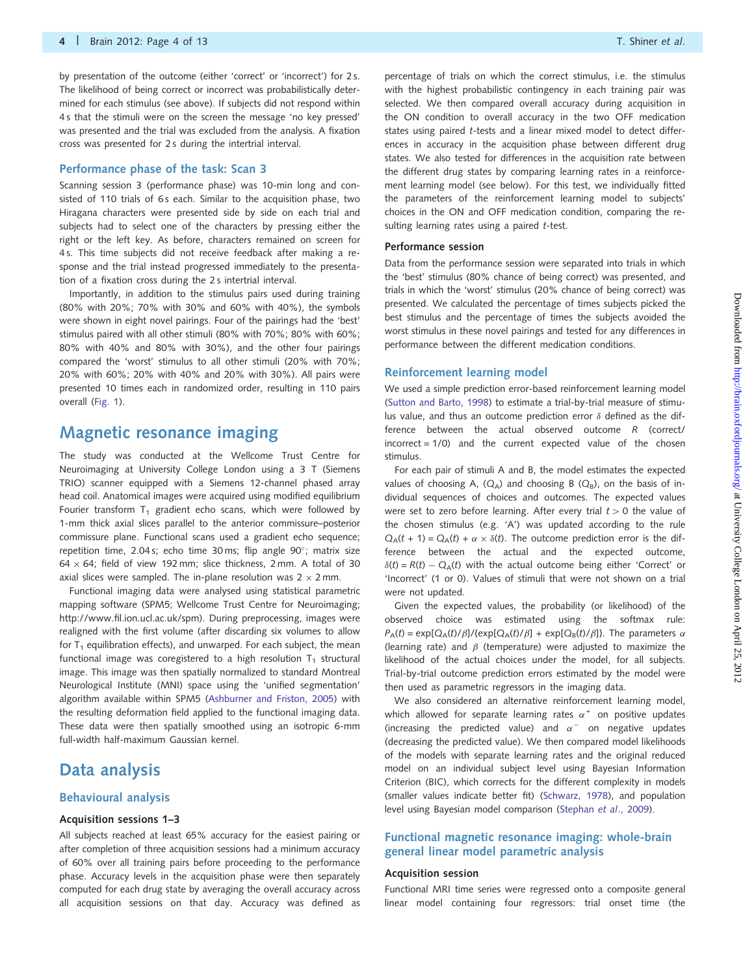by presentation of the outcome (either 'correct' or 'incorrect') for 2 s. The likelihood of being correct or incorrect was probabilistically determined for each stimulus (see above). If subjects did not respond within 4 s that the stimuli were on the screen the message 'no key pressed' was presented and the trial was excluded from the analysis. A fixation cross was presented for 2 s during the intertrial interval.

#### Performance phase of the task: Scan 3

Scanning session 3 (performance phase) was 10-min long and consisted of 110 trials of 6s each. Similar to the acquisition phase, two Hiragana characters were presented side by side on each trial and subjects had to select one of the characters by pressing either the right or the left key. As before, characters remained on screen for 4 s. This time subjects did not receive feedback after making a response and the trial instead progressed immediately to the presentation of a fixation cross during the 2 s intertrial interval.

Importantly, in addition to the stimulus pairs used during training (80% with 20%; 70% with 30% and 60% with 40%), the symbols were shown in eight novel pairings. Four of the pairings had the 'best' stimulus paired with all other stimuli (80% with 70%; 80% with 60%; 80% with 40% and 80% with 30%), and the other four pairings compared the 'worst' stimulus to all other stimuli (20% with 70%; 20% with 60%; 20% with 40% and 20% with 30%). All pairs were presented 10 times each in randomized order, resulting in 110 pairs overall ([Fig. 1](#page-2-0)).

### Magnetic resonance imaging

The study was conducted at the Wellcome Trust Centre for Neuroimaging at University College London using a 3 T (Siemens TRIO) scanner equipped with a Siemens 12-channel phased array head coil. Anatomical images were acquired using modified equilibrium Fourier transform  $T_1$  gradient echo scans, which were followed by 1-mm thick axial slices parallel to the anterior commissure–posterior commissure plane. Functional scans used a gradient echo sequence; repetition time, 2.04 s; echo time 30 ms; flip angle 90°; matrix size 64  $\times$  64; field of view 192 mm; slice thickness, 2 mm. A total of 30 axial slices were sampled. The in-plane resolution was  $2 \times 2$  mm.

Functional imaging data were analysed using statistical parametric mapping software (SPM5; Wellcome Trust Centre for Neuroimaging; [http://www.fil.ion.ucl.ac.uk/spm\)](http://www.fil.ion.ucl.ac.uk/spm). During preprocessing, images were realigned with the first volume (after discarding six volumes to allow for  $T_1$  equilibration effects), and unwarped. For each subject, the mean functional image was coregistered to a high resolution  $T_1$  structural image. This image was then spatially normalized to standard Montreal Neurological Institute (MNI) space using the 'unified segmentation' algorithm available within SPM5 [\(Ashburner and Friston, 2005\)](#page-10-0) with the resulting deformation field applied to the functional imaging data. These data were then spatially smoothed using an isotropic 6-mm full-width half-maximum Gaussian kernel.

### Data analysis

#### Behavioural analysis

#### Acquisition sessions 1–3

All subjects reached at least 65% accuracy for the easiest pairing or after completion of three acquisition sessions had a minimum accuracy of 60% over all training pairs before proceeding to the performance phase. Accuracy levels in the acquisition phase were then separately computed for each drug state by averaging the overall accuracy across all acquisition sessions on that day. Accuracy was defined as percentage of trials on which the correct stimulus, i.e. the stimulus with the highest probabilistic contingency in each training pair was selected. We then compared overall accuracy during acquisition in the ON condition to overall accuracy in the two OFF medication states using paired t-tests and a linear mixed model to detect differences in accuracy in the acquisition phase between different drug states. We also tested for differences in the acquisition rate between the different drug states by comparing learning rates in a reinforcement learning model (see below). For this test, we individually fitted the parameters of the reinforcement learning model to subjects' choices in the ON and OFF medication condition, comparing the resulting learning rates using a paired  $t$ -test.

#### Performance session

Data from the performance session were separated into trials in which the 'best' stimulus (80% chance of being correct) was presented, and trials in which the 'worst' stimulus (20% chance of being correct) was presented. We calculated the percentage of times subjects picked the best stimulus and the percentage of times the subjects avoided the worst stimulus in these novel pairings and tested for any differences in performance between the different medication conditions.

#### Reinforcement learning model

We used a simple prediction error-based reinforcement learning model ([Sutton and Barto, 1998](#page-12-0)) to estimate a trial-by-trial measure of stimulus value, and thus an outcome prediction error  $\delta$  defined as the difference between the actual observed outcome R (correct/ incorrect = 1/0) and the current expected value of the chosen stimulus.

For each pair of stimuli A and B, the model estimates the expected values of choosing A,  $(Q_A)$  and choosing B  $(Q_B)$ , on the basis of individual sequences of choices and outcomes. The expected values were set to zero before learning. After every trial  $t > 0$  the value of the chosen stimulus (e.g. 'A') was updated according to the rule  $Q_A(t + 1) = Q_A(t) + \alpha \times \delta(t)$ . The outcome prediction error is the difference between the actual and the expected outcome,  $\delta(t) = R(t) - Q_A(t)$  with the actual outcome being either 'Correct' or 'Incorrect' (1 or 0). Values of stimuli that were not shown on a trial were not updated.

Given the expected values, the probability (or likelihood) of the observed choice was estimated using the softmax rule:  $P_A(t) = \exp[Q_A(t)/\beta]/\{\exp[Q_A(t)/\beta] + \exp[Q_B(t)/\beta]\}.$  The parameters  $\alpha$ (learning rate) and  $\beta$  (temperature) were adjusted to maximize the likelihood of the actual choices under the model, for all subjects. Trial-by-trial outcome prediction errors estimated by the model were then used as parametric regressors in the imaging data.

We also considered an alternative reinforcement learning model, which allowed for separate learning rates  $\alpha^+$  on positive updates (increasing the predicted value) and  $\alpha^-$  on negative updates (decreasing the predicted value). We then compared model likelihoods of the models with separate learning rates and the original reduced model on an individual subject level using Bayesian Information Criterion (BIC), which corrects for the different complexity in models (smaller values indicate better fit) ([Schwarz, 1978](#page-12-0)), and population level using Bayesian model comparison [\(Stephan](#page-12-0) et al., 2009).

#### Functional magnetic resonance imaging: whole-brain general linear model parametric analysis

#### Acquisition session

Functional MRI time series were regressed onto a composite general linear model containing four regressors: trial onset time (the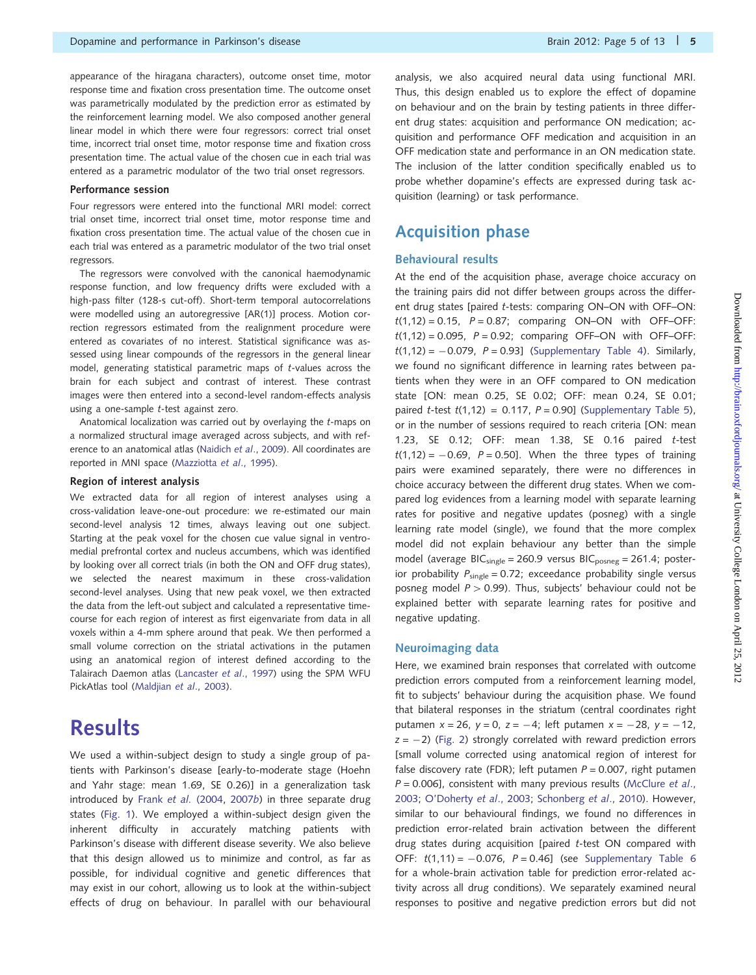appearance of the hiragana characters), outcome onset time, motor response time and fixation cross presentation time. The outcome onset was parametrically modulated by the prediction error as estimated by the reinforcement learning model. We also composed another general linear model in which there were four regressors: correct trial onset time, incorrect trial onset time, motor response time and fixation cross presentation time. The actual value of the chosen cue in each trial was entered as a parametric modulator of the two trial onset regressors.

#### Performance session

Four regressors were entered into the functional MRI model: correct trial onset time, incorrect trial onset time, motor response time and fixation cross presentation time. The actual value of the chosen cue in each trial was entered as a parametric modulator of the two trial onset regressors.

The regressors were convolved with the canonical haemodynamic response function, and low frequency drifts were excluded with a high-pass filter (128-s cut-off). Short-term temporal autocorrelations were modelled using an autoregressive [AR(1)] process. Motion correction regressors estimated from the realignment procedure were entered as covariates of no interest. Statistical significance was assessed using linear compounds of the regressors in the general linear model, generating statistical parametric maps of t-values across the brain for each subject and contrast of interest. These contrast images were then entered into a second-level random-effects analysis using a one-sample t-test against zero.

Anatomical localization was carried out by overlaying the t-maps on a normalized structural image averaged across subjects, and with reference to an anatomical atlas [\(Naidich](#page-11-0) et al[., 2009\)](#page-11-0). All coordinates are reported in MNI space ([Mazziotta](#page-11-0) et al., 1995).

#### Region of interest analysis

We extracted data for all region of interest analyses using a cross-validation leave-one-out procedure: we re-estimated our main second-level analysis 12 times, always leaving out one subject. Starting at the peak voxel for the chosen cue value signal in ventromedial prefrontal cortex and nucleus accumbens, which was identified by looking over all correct trials (in both the ON and OFF drug states), we selected the nearest maximum in these cross-validation second-level analyses. Using that new peak voxel, we then extracted the data from the left-out subject and calculated a representative timecourse for each region of interest as first eigenvariate from data in all voxels within a 4-mm sphere around that peak. We then performed a small volume correction on the striatal activations in the putamen using an anatomical region of interest defined according to the Talairach Daemon atlas ([Lancaster](#page-11-0) et al., 1997) using the SPM WFU PickAtlas tool [\(Maldjian](#page-11-0) et al., 2003).

### **Results**

We used a within-subject design to study a single group of patients with Parkinson's disease [early-to-moderate stage (Hoehn and Yahr stage: mean 1.69, SE 0.26)] in a generalization task introduced by Frank et al. [\(2004,](#page-11-0) [2007](#page-11-0)b) in three separate drug states [\(Fig. 1\)](#page-2-0). We employed a within-subject design given the inherent difficulty in accurately matching patients with Parkinson's disease with different disease severity. We also believe that this design allowed us to minimize and control, as far as possible, for individual cognitive and genetic differences that may exist in our cohort, allowing us to look at the within-subject effects of drug on behaviour. In parallel with our behavioural analysis, we also acquired neural data using functional MRI. Thus, this design enabled us to explore the effect of dopamine on behaviour and on the brain by testing patients in three different drug states: acquisition and performance ON medication; acquisition and performance OFF medication and acquisition in an OFF medication state and performance in an ON medication state. The inclusion of the latter condition specifically enabled us to probe whether dopamine's effects are expressed during task acquisition (learning) or task performance.

### Acquisition phase

#### Behavioural results

At the end of the acquisition phase, average choice accuracy on the training pairs did not differ between groups across the different drug states [paired t-tests: comparing ON–ON with OFF–ON:  $t(1,12) = 0.15$ ,  $P = 0.87$ ; comparing ON–ON with OFF–OFF:  $t(1,12) = 0.095$ ,  $P = 0.92$ ; comparing OFF-ON with OFF-OFF:  $t(1,12) = -0.079$ ,  $P = 0.93$ ] ([Supplementary Table 4\)](http://brain.oxfordjournals.org/cgi/content/full/aws083/DC1). Similarly, we found no significant difference in learning rates between patients when they were in an OFF compared to ON medication state [ON: mean 0.25, SE 0.02; OFF: mean 0.24, SE 0.01; paired *t*-test  $t(1,12) = 0.117$ ,  $P = 0.90$ ] ([Supplementary Table 5](http://brain.oxfordjournals.org/cgi/content/full/aws083/DC1)), or in the number of sessions required to reach criteria [ON: mean 1.23, SE 0.12; OFF: mean 1.38, SE 0.16 paired t-test  $t(1,12) = -0.69$ ,  $P = 0.50$ . When the three types of training pairs were examined separately, there were no differences in choice accuracy between the different drug states. When we compared log evidences from a learning model with separate learning rates for positive and negative updates (posneg) with a single learning rate model (single), we found that the more complex model did not explain behaviour any better than the simple model (average BIC<sub>single</sub> = 260.9 versus BIC<sub>posneg</sub> = 261.4; posterior probability  $P_{single} = 0.72$ ; exceedance probability single versus posneg model  $P > 0.99$ ). Thus, subjects' behaviour could not be explained better with separate learning rates for positive and negative updating.

#### Neuroimaging data

Here, we examined brain responses that correlated with outcome prediction errors computed from a reinforcement learning model, fit to subjects' behaviour during the acquisition phase. We found that bilateral responses in the striatum (central coordinates right putamen  $x = 26$ ,  $y = 0$ ,  $z = -4$ ; left putamen  $x = -28$ ,  $y = -12$ ,  $z = -2$ ) ([Fig. 2](#page-5-0)) strongly correlated with reward prediction errors [small volume corrected using anatomical region of interest for false discovery rate (FDR); left putamen  $P = 0.007$ , right putamen  $P = 0.006$ ], consistent with many previous results ([McClure](#page-11-0) et al., [2003](#page-11-0); [O'Doherty](#page-12-0) et al., 2003; [Schonberg](#page-12-0) et al., 2010). However, similar to our behavioural findings, we found no differences in prediction error-related brain activation between the different drug states during acquisition [paired t-test ON compared with OFF:  $t(1,11) = -0.076$ ,  $P = 0.46$ ] (see [Supplementary Table 6](http://brain.oxfordjournals.org/cgi/content/full/aws083/DC1) for a whole-brain activation table for prediction error-related activity across all drug conditions). We separately examined neural responses to positive and negative prediction errors but did not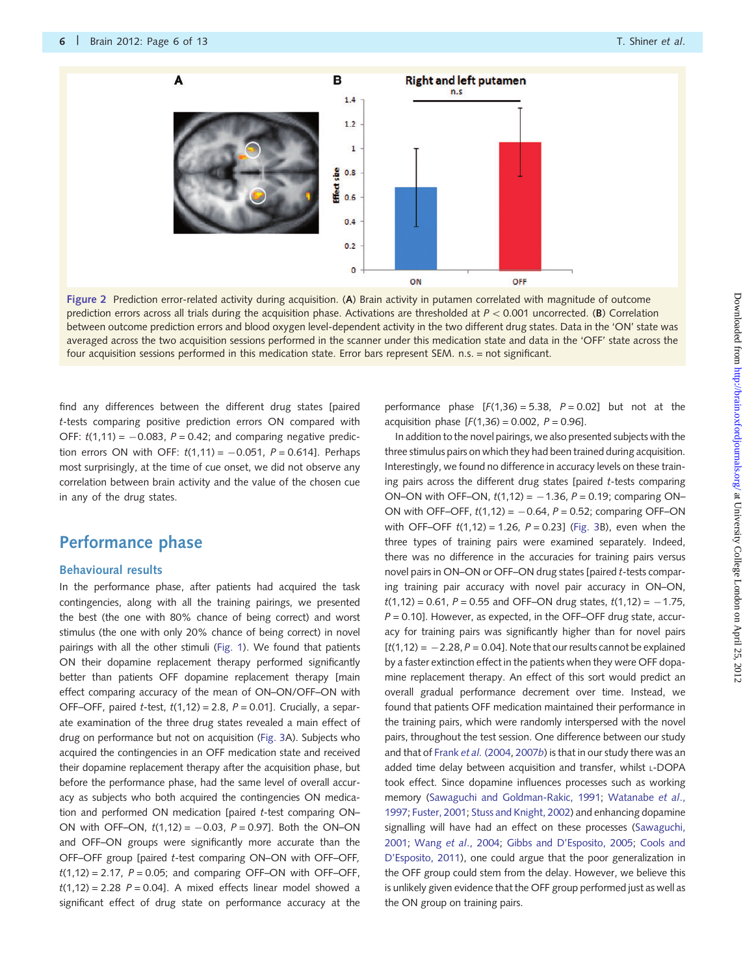<span id="page-5-0"></span>

Figure 2 Prediction error-related activity during acquisition. (A) Brain activity in putamen correlated with magnitude of outcome prediction errors across all trials during the acquisition phase. Activations are thresholded at  $P < 0.001$  uncorrected. (B) Correlation between outcome prediction errors and blood oxygen level-dependent activity in the two different drug states. Data in the 'ON' state was averaged across the two acquisition sessions performed in the scanner under this medication state and data in the 'OFF' state across the four acquisition sessions performed in this medication state. Error bars represent SEM. n.s. = not significant.

find any differences between the different drug states [paired t-tests comparing positive prediction errors ON compared with OFF:  $t(1,11) = -0.083$ ,  $P = 0.42$ ; and comparing negative prediction errors ON with OFF:  $t(1,11) = -0.051$ ,  $P = 0.614$ ]. Perhaps most surprisingly, at the time of cue onset, we did not observe any correlation between brain activity and the value of the chosen cue in any of the drug states.

### Performance phase

#### Behavioural results

In the performance phase, after patients had acquired the task contingencies, along with all the training pairings, we presented the best (the one with 80% chance of being correct) and worst stimulus (the one with only 20% chance of being correct) in novel pairings with all the other stimuli [\(Fig. 1](#page-2-0)). We found that patients ON their dopamine replacement therapy performed significantly better than patients OFF dopamine replacement therapy [main effect comparing accuracy of the mean of ON–ON/OFF–ON with OFF–OFF, paired t-test,  $t(1,12) = 2.8$ ,  $P = 0.01$ ]. Crucially, a separate examination of the three drug states revealed a main effect of drug on performance but not on acquisition [\(Fig. 3](#page-6-0)A). Subjects who acquired the contingencies in an OFF medication state and received their dopamine replacement therapy after the acquisition phase, but before the performance phase, had the same level of overall accuracy as subjects who both acquired the contingencies ON medication and performed ON medication [paired t-test comparing ON– ON with OFF–ON,  $t(1,12) = -0.03$ ,  $P = 0.97$ ]. Both the ON–ON and OFF–ON groups were significantly more accurate than the OFF–OFF group [paired t-test comparing ON–ON with OFF–OFF,  $t(1,12) = 2.17$ ,  $P = 0.05$ ; and comparing OFF-ON with OFF-OFF,  $t(1,12) = 2.28$   $P = 0.04$ ]. A mixed effects linear model showed a significant effect of drug state on performance accuracy at the

performance phase  $[F(1,36) = 5.38, P = 0.02]$  but not at the acquisition phase  $[F(1,36) = 0.002, P = 0.96]$ .

In addition to the novel pairings, we also presented subjects with the three stimulus pairs on which they had been trained during acquisition. Interestingly, we found no difference in accuracy levels on these training pairs across the different drug states [paired  $t$ -tests comparing ON–ON with OFF–ON,  $t(1,12) = -1.36$ ,  $P = 0.19$ ; comparing ON– ON with OFF–OFF,  $t(1,12) = -0.64$ ,  $P = 0.52$ ; comparing OFF–ON with OFF–OFF  $t(1,12) = 1.26$ ,  $P = 0.23$ ] [\(Fig. 3](#page-6-0)B), even when the three types of training pairs were examined separately. Indeed, there was no difference in the accuracies for training pairs versus novel pairs in ON–ON or OFF–ON drug states [paired t-tests comparing training pair accuracy with novel pair accuracy in ON–ON,  $t(1,12) = 0.61$ ,  $P = 0.55$  and OFF-ON drug states,  $t(1,12) = -1.75$ ,  $P = 0.10$ ]. However, as expected, in the OFF–OFF drug state, accuracy for training pairs was significantly higher than for novel pairs  $[t(1,12) = -2.28, P = 0.04]$ . Note that our results cannot be explained by a faster extinction effect in the patients when they were OFF dopamine replacement therapy. An effect of this sort would predict an overall gradual performance decrement over time. Instead, we found that patients OFF medication maintained their performance in the training pairs, which were randomly interspersed with the novel pairs, throughout the test session. One difference between our study and that of Frank et al. [\(2004](#page-11-0), [2007](#page-11-0)b) is that in our study there was an added time delay between acquisition and transfer, whilst L-DOPA took effect. Since dopamine influences processes such as working memory [\(Sawaguchi and Goldman-Rakic, 1991](#page-12-0); [Watanabe](#page-12-0) et al., [1997](#page-12-0); [Fuster, 2001](#page-11-0); [Stuss and Knight, 2002\)](#page-12-0) and enhancing dopamine signalling will have had an effect on these processes [\(Sawaguchi,](#page-12-0) [2001](#page-12-0); Wang et al[., 2004](#page-12-0); [Gibbs and D'Esposito, 2005](#page-11-0); [Cools and](#page-11-0) [D'Esposito, 2011](#page-11-0)), one could argue that the poor generalization in the OFF group could stem from the delay. However, we believe this is unlikely given evidence that the OFF group performed just as well as the ON group on training pairs.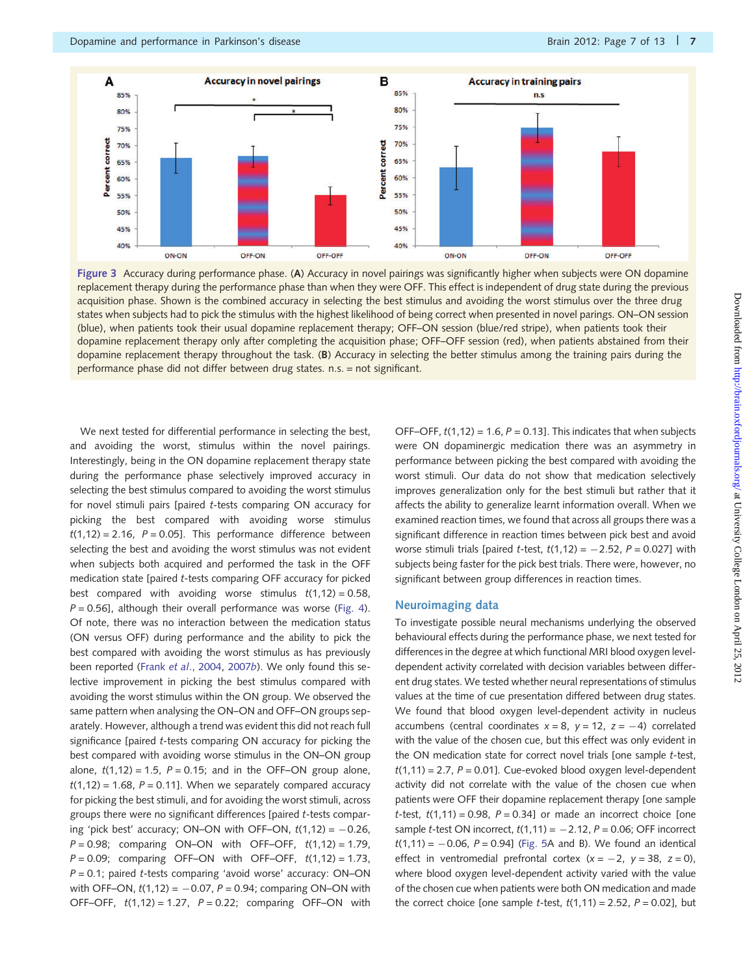<span id="page-6-0"></span>

Figure 3 Accuracy during performance phase. (A) Accuracy in novel pairings was significantly higher when subjects were ON dopamine replacement therapy during the performance phase than when they were OFF. This effect is independent of drug state during the previous acquisition phase. Shown is the combined accuracy in selecting the best stimulus and avoiding the worst stimulus over the three drug states when subjects had to pick the stimulus with the highest likelihood of being correct when presented in novel parings. ON–ON session (blue), when patients took their usual dopamine replacement therapy; OFF–ON session (blue/red stripe), when patients took their dopamine replacement therapy only after completing the acquisition phase; OFF–OFF session (red), when patients abstained from their dopamine replacement therapy throughout the task. (B) Accuracy in selecting the better stimulus among the training pairs during the performance phase did not differ between drug states. n.s. = not significant.

We next tested for differential performance in selecting the best, and avoiding the worst, stimulus within the novel pairings. Interestingly, being in the ON dopamine replacement therapy state during the performance phase selectively improved accuracy in selecting the best stimulus compared to avoiding the worst stimulus for novel stimuli pairs [paired t-tests comparing ON accuracy for picking the best compared with avoiding worse stimulus  $t(1,12) = 2.16$ ,  $P = 0.05$ ]. This performance difference between selecting the best and avoiding the worst stimulus was not evident when subjects both acquired and performed the task in the OFF medication state [paired t-tests comparing OFF accuracy for picked best compared with avoiding worse stimulus  $t(1,12) = 0.58$ ,  $P = 0.56$ ], although their overall performance was worse [\(Fig. 4](#page-7-0)). Of note, there was no interaction between the medication status (ON versus OFF) during performance and the ability to pick the best compared with avoiding the worst stimulus as has previously been reported (Frank et al[., 2004,](#page-11-0) [2007](#page-11-0)b). We only found this selective improvement in picking the best stimulus compared with avoiding the worst stimulus within the ON group. We observed the same pattern when analysing the ON–ON and OFF–ON groups separately. However, although a trend was evident this did not reach full significance [paired t-tests comparing ON accuracy for picking the best compared with avoiding worse stimulus in the ON–ON group alone,  $t(1,12) = 1.5$ ,  $P = 0.15$ ; and in the OFF–ON group alone,  $t(1,12) = 1.68$ ,  $P = 0.11$ ]. When we separately compared accuracy for picking the best stimuli, and for avoiding the worst stimuli, across groups there were no significant differences [paired t-tests comparing 'pick best' accuracy; ON–ON with OFF–ON,  $t(1,12) = -0.26$ ,  $P = 0.98$ ; comparing ON–ON with OFF–OFF,  $t(1,12) = 1.79$ ,  $P = 0.09$ ; comparing OFF–ON with OFF–OFF,  $t(1,12) = 1.73$ ,  $P = 0.1$ ; paired t-tests comparing 'avoid worse' accuracy: ON–ON with OFF–ON,  $t(1,12) = -0.07$ ,  $P = 0.94$ ; comparing ON–ON with OFF–OFF,  $t(1,12) = 1.27$ ,  $P = 0.22$ ; comparing OFF–ON with OFF–OFF,  $t(1,12) = 1.6$ ,  $P = 0.13$ . This indicates that when subjects were ON dopaminergic medication there was an asymmetry in performance between picking the best compared with avoiding the worst stimuli. Our data do not show that medication selectively improves generalization only for the best stimuli but rather that it affects the ability to generalize learnt information overall. When we examined reaction times, we found that across all groups there was a significant difference in reaction times between pick best and avoid worse stimuli trials [paired t-test,  $t(1,12) = -2.52$ ,  $P = 0.027$ ] with subjects being faster for the pick best trials. There were, however, no significant between group differences in reaction times.

#### Neuroimaging data

To investigate possible neural mechanisms underlying the observed behavioural effects during the performance phase, we next tested for differences in the degree at which functional MRI blood oxygen leveldependent activity correlated with decision variables between different drug states. We tested whether neural representations of stimulus values at the time of cue presentation differed between drug states. We found that blood oxygen level-dependent activity in nucleus accumbens (central coordinates  $x = 8$ ,  $y = 12$ ,  $z = -4$ ) correlated with the value of the chosen cue, but this effect was only evident in the ON medication state for correct novel trials [one sample t-test,  $t(1,11) = 2.7$ ,  $P = 0.01$ ]. Cue-evoked blood oxygen level-dependent activity did not correlate with the value of the chosen cue when patients were OFF their dopamine replacement therapy [one sample t-test,  $t(1,11) = 0.98$ ,  $P = 0.34$ ] or made an incorrect choice [one sample t-test ON incorrect,  $t(1,11) = -2.12$ ,  $P = 0.06$ ; OFF incorrect  $t(1,11) = -0.06$ ,  $P = 0.94$ ] [\(Fig. 5A](#page-8-0) and B). We found an identical effect in ventromedial prefrontal cortex  $(x = -2, y = 38, z = 0)$ , where blood oxygen level-dependent activity varied with the value of the chosen cue when patients were both ON medication and made the correct choice [one sample t-test,  $t(1,11) = 2.52$ ,  $P = 0.02$ ], but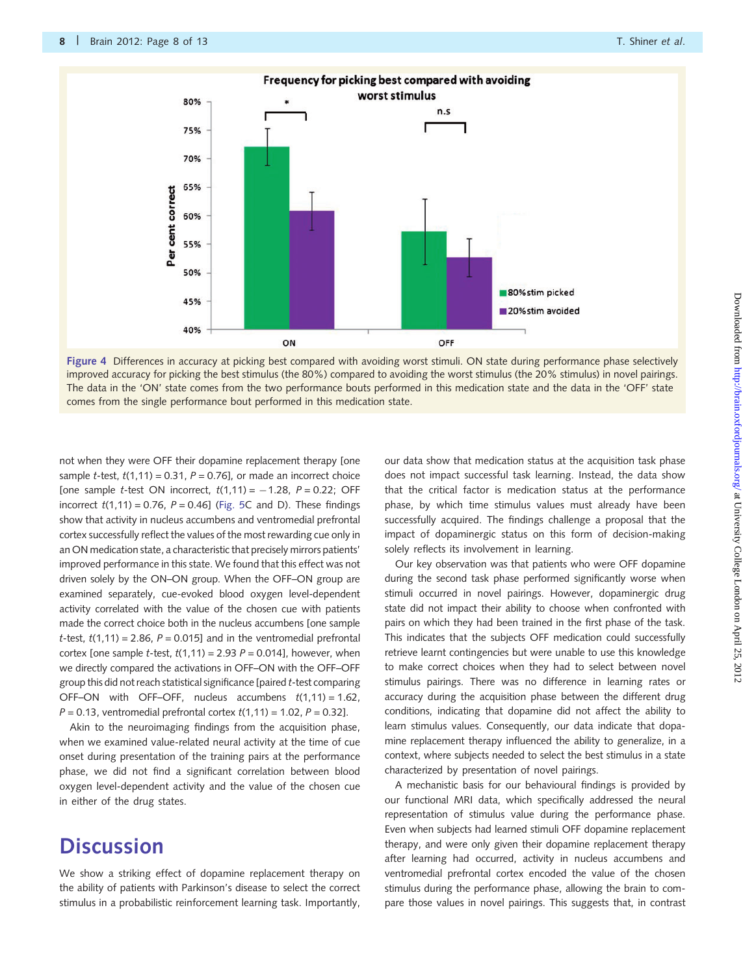<span id="page-7-0"></span>

Figure 4 Differences in accuracy at picking best compared with avoiding worst stimuli. ON state during performance phase selectively improved accuracy for picking the best stimulus (the 80%) compared to avoiding the worst stimulus (the 20% stimulus) in novel pairings. The data in the 'ON' state comes from the two performance bouts performed in this medication state and the data in the 'OFF' state comes from the single performance bout performed in this medication state.

not when they were OFF their dopamine replacement therapy [one sample t-test,  $t(1,11) = 0.31$ ,  $P = 0.76$ ], or made an incorrect choice [one sample t-test ON incorrect,  $t(1,11) = -1.28$ ,  $P = 0.22$ ; OFF incorrect  $t(1,11) = 0.76$ ,  $P = 0.46$ ] ([Fig. 5C](#page-8-0) and D). These findings show that activity in nucleus accumbens and ventromedial prefrontal cortex successfully reflect the values of the most rewarding cue only in an ON medication state, a characteristic that precisely mirrors patients' improved performance in this state. We found that this effect was not driven solely by the ON–ON group. When the OFF–ON group are examined separately, cue-evoked blood oxygen level-dependent activity correlated with the value of the chosen cue with patients made the correct choice both in the nucleus accumbens [one sample t-test,  $t(1,11) = 2.86$ ,  $P = 0.015$ ] and in the ventromedial prefrontal cortex [one sample *t*-test,  $t(1,11) = 2.93$   $P = 0.014$ ], however, when we directly compared the activations in OFF–ON with the OFF–OFF group this did not reach statistical significance [paired t-test comparing OFF–ON with OFF–OFF, nucleus accumbens  $t(1,11) = 1.62$ ,  $P = 0.13$ , ventromedial prefrontal cortex  $t(1,11) = 1.02$ ,  $P = 0.32$ ].

Akin to the neuroimaging findings from the acquisition phase, when we examined value-related neural activity at the time of cue onset during presentation of the training pairs at the performance phase, we did not find a significant correlation between blood oxygen level-dependent activity and the value of the chosen cue in either of the drug states.

## **Discussion**

We show a striking effect of dopamine replacement therapy on the ability of patients with Parkinson's disease to select the correct stimulus in a probabilistic reinforcement learning task. Importantly,

our data show that medication status at the acquisition task phase does not impact successful task learning. Instead, the data show that the critical factor is medication status at the performance phase, by which time stimulus values must already have been successfully acquired. The findings challenge a proposal that the impact of dopaminergic status on this form of decision-making solely reflects its involvement in learning.

Our key observation was that patients who were OFF dopamine during the second task phase performed significantly worse when stimuli occurred in novel pairings. However, dopaminergic drug state did not impact their ability to choose when confronted with pairs on which they had been trained in the first phase of the task. This indicates that the subjects OFF medication could successfully retrieve learnt contingencies but were unable to use this knowledge to make correct choices when they had to select between novel stimulus pairings. There was no difference in learning rates or accuracy during the acquisition phase between the different drug conditions, indicating that dopamine did not affect the ability to learn stimulus values. Consequently, our data indicate that dopamine replacement therapy influenced the ability to generalize, in a context, where subjects needed to select the best stimulus in a state characterized by presentation of novel pairings.

A mechanistic basis for our behavioural findings is provided by our functional MRI data, which specifically addressed the neural representation of stimulus value during the performance phase. Even when subjects had learned stimuli OFF dopamine replacement therapy, and were only given their dopamine replacement therapy after learning had occurred, activity in nucleus accumbens and ventromedial prefrontal cortex encoded the value of the chosen stimulus during the performance phase, allowing the brain to compare those values in novel pairings. This suggests that, in contrast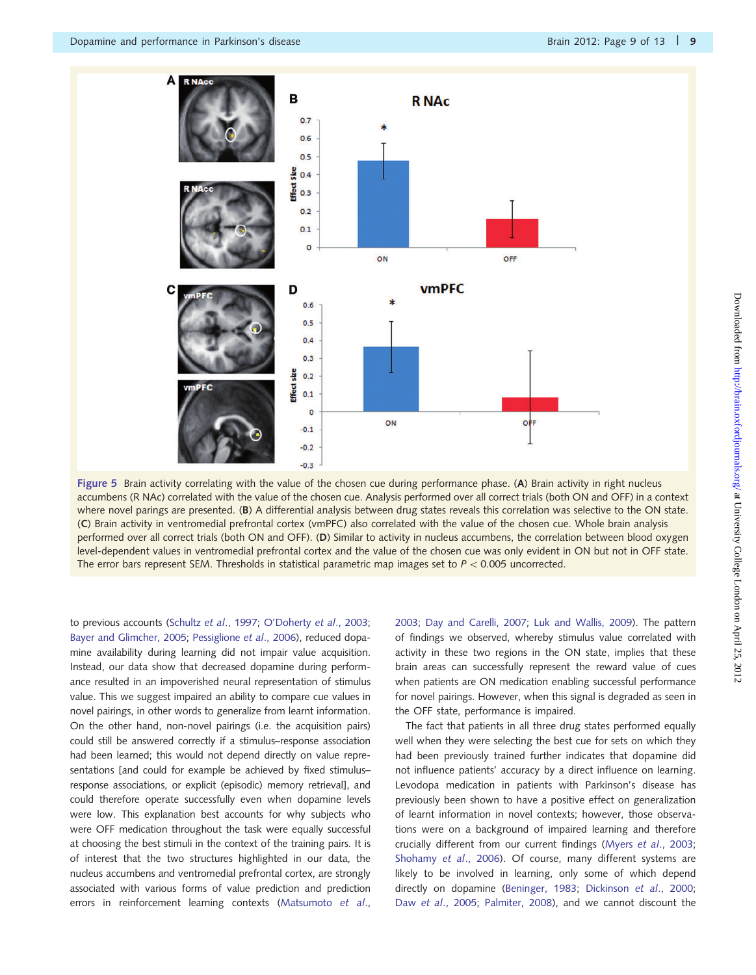<span id="page-8-0"></span>

Figure 5 Brain activity correlating with the value of the chosen cue during performance phase. (A) Brain activity in right nucleus accumbens (R NAc) correlated with the value of the chosen cue. Analysis performed over all correct trials (both ON and OFF) in a context where novel parings are presented. (B) A differential analysis between drug states reveals this correlation was selective to the ON state. (C) Brain activity in ventromedial prefrontal cortex (vmPFC) also correlated with the value of the chosen cue. Whole brain analysis performed over all correct trials (both ON and OFF). (D) Similar to activity in nucleus accumbens, the correlation between blood oxygen level-dependent values in ventromedial prefrontal cortex and the value of the chosen cue was only evident in ON but not in OFF state. The error bars represent SEM. Thresholds in statistical parametric map images set to  $P < 0.005$  uncorrected.

to previous accounts (Schultz et al[., 1997;](#page-12-0) [O'Doherty](#page-12-0) et al., 2003; [Bayer and Glimcher, 2005](#page-10-0); [Pessiglione](#page-12-0) et al., 2006), reduced dopamine availability during learning did not impair value acquisition. Instead, our data show that decreased dopamine during performance resulted in an impoverished neural representation of stimulus value. This we suggest impaired an ability to compare cue values in novel pairings, in other words to generalize from learnt information. On the other hand, non-novel pairings (i.e. the acquisition pairs) could still be answered correctly if a stimulus–response association had been learned; this would not depend directly on value representations [and could for example be achieved by fixed stimulusresponse associations, or explicit (episodic) memory retrieval], and could therefore operate successfully even when dopamine levels were low. This explanation best accounts for why subjects who were OFF medication throughout the task were equally successful at choosing the best stimuli in the context of the training pairs. It is of interest that the two structures highlighted in our data, the nucleus accumbens and ventromedial prefrontal cortex, are strongly associated with various forms of value prediction and prediction errors in reinforcement learning contexts ([Matsumoto](#page-11-0) et al., [2003;](#page-11-0) [Day and Carelli, 2007;](#page-11-0) [Luk and Wallis, 2009\)](#page-11-0). The pattern of findings we observed, whereby stimulus value correlated with activity in these two regions in the ON state, implies that these brain areas can successfully represent the reward value of cues when patients are ON medication enabling successful performance for novel pairings. However, when this signal is degraded as seen in the OFF state, performance is impaired.

The fact that patients in all three drug states performed equally well when they were selecting the best cue for sets on which they had been previously trained further indicates that dopamine did not influence patients' accuracy by a direct influence on learning. Levodopa medication in patients with Parkinson's disease has previously been shown to have a positive effect on generalization of learnt information in novel contexts; however, those observations were on a background of impaired learning and therefore crucially different from our current findings (Myers et al[., 2003](#page-11-0); [Shohamy](#page-12-0) et al., 2006). Of course, many different systems are likely to be involved in learning, only some of which depend directly on dopamine ([Beninger, 1983;](#page-10-0) [Dickinson](#page-11-0) et al., 2000; Daw et al[., 2005;](#page-11-0) [Palmiter, 2008\)](#page-12-0), and we cannot discount the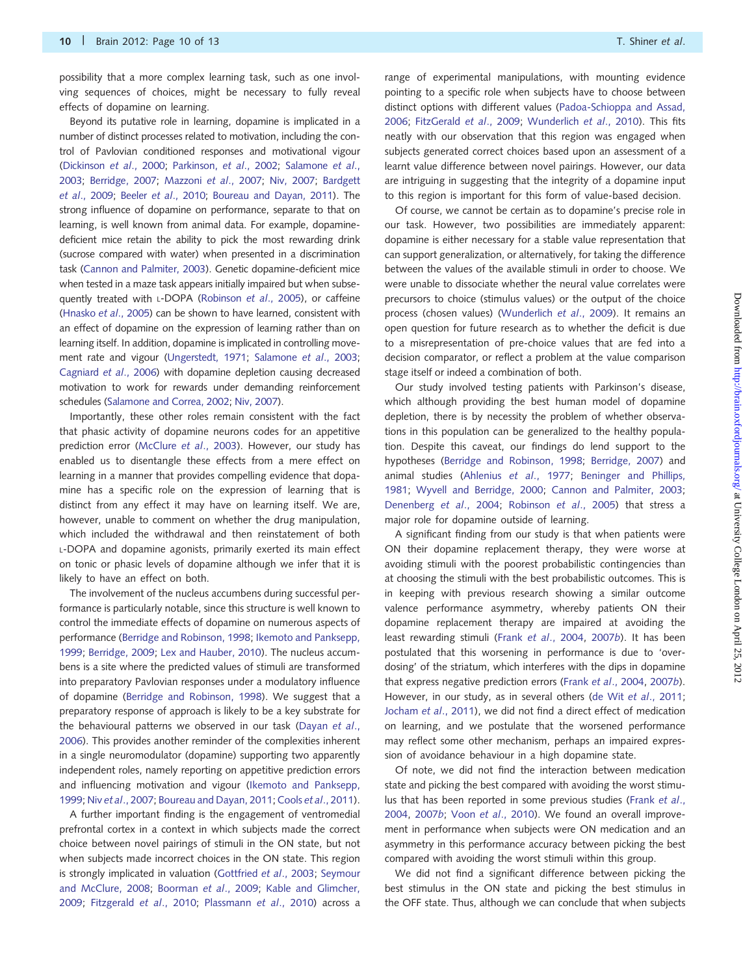possibility that a more complex learning task, such as one involving sequences of choices, might be necessary to fully reveal effects of dopamine on learning.

Beyond its putative role in learning, dopamine is implicated in a number of distinct processes related to motivation, including the control of Pavlovian conditioned responses and motivational vigour [\(Dickinson](#page-11-0) et al., 2000; [Parkinson,](#page-12-0) et al., 2002; [Salamone](#page-12-0) et al., [2003;](#page-12-0) [Berridge, 2007;](#page-11-0) [Mazzoni](#page-11-0) et al., 2007; [Niv, 2007](#page-11-0); [Bardgett](#page-10-0) et al[., 2009;](#page-10-0) Beeler et al[., 2010;](#page-10-0) [Boureau and Dayan, 2011\)](#page-11-0). The strong influence of dopamine on performance, separate to that on learning, is well known from animal data. For example, dopaminedeficient mice retain the ability to pick the most rewarding drink (sucrose compared with water) when presented in a discrimination task ([Cannon and Palmiter, 2003\)](#page-11-0). Genetic dopamine-deficient mice when tested in a maze task appears initially impaired but when subsequently treated with L-DOPA [\(Robinson](#page-12-0) et al., 2005), or caffeine [\(Hnasko](#page-11-0) et al., 2005) can be shown to have learned, consistent with an effect of dopamine on the expression of learning rather than on learning itself. In addition, dopamine is implicated in controlling movement rate and vigour ([Ungerstedt, 1971;](#page-12-0) [Salamone](#page-12-0) et al., 2003; [Cagniard](#page-11-0) et al., 2006) with dopamine depletion causing decreased motivation to work for rewards under demanding reinforcement schedules [\(Salamone and Correa, 2002;](#page-12-0) [Niv, 2007](#page-11-0)).

Importantly, these other roles remain consistent with the fact that phasic activity of dopamine neurons codes for an appetitive prediction error [\(McClure](#page-11-0) et al., 2003). However, our study has enabled us to disentangle these effects from a mere effect on learning in a manner that provides compelling evidence that dopamine has a specific role on the expression of learning that is distinct from any effect it may have on learning itself. We are, however, unable to comment on whether the drug manipulation, which included the withdrawal and then reinstatement of both L-DOPA and dopamine agonists, primarily exerted its main effect on tonic or phasic levels of dopamine although we infer that it is likely to have an effect on both.

The involvement of the nucleus accumbens during successful performance is particularly notable, since this structure is well known to control the immediate effects of dopamine on numerous aspects of performance [\(Berridge and Robinson, 1998](#page-11-0); [Ikemoto and Panksepp,](#page-11-0) [1999;](#page-11-0) [Berridge, 2009](#page-11-0); [Lex and Hauber, 2010\)](#page-11-0). The nucleus accumbens is a site where the predicted values of stimuli are transformed into preparatory Pavlovian responses under a modulatory influence of dopamine [\(Berridge and Robinson, 1998](#page-11-0)). We suggest that a preparatory response of approach is likely to be a key substrate for the behavioural patterns we observed in our task [\(Dayan](#page-11-0) et al., [2006\)](#page-11-0). This provides another reminder of the complexities inherent in a single neuromodulator (dopamine) supporting two apparently independent roles, namely reporting on appetitive prediction errors and influencing motivation and vigour [\(Ikemoto and Panksepp,](#page-11-0) [1999;](#page-11-0) Niv et al[., 2007;](#page-11-0) [Boureau and Dayan, 2011](#page-11-0); Cools et al[., 2011\)](#page-11-0).

A further important finding is the engagement of ventromedial prefrontal cortex in a context in which subjects made the correct choice between novel pairings of stimuli in the ON state, but not when subjects made incorrect choices in the ON state. This region is strongly implicated in valuation [\(Gottfried](#page-11-0) et al., 2003; [Seymour](#page-12-0) [and McClure, 2008;](#page-12-0) [Boorman](#page-11-0) et al., 2009; [Kable and Glimcher,](#page-11-0) [2009;](#page-11-0) [Fitzgerald](#page-11-0) et al., 2010; [Plassmann](#page-12-0) et al., 2010) across a range of experimental manipulations, with mounting evidence pointing to a specific role when subjects have to choose between distinct options with different values ([Padoa-Schioppa and Assad,](#page-12-0) [2006;](#page-12-0) [FitzGerald](#page-11-0) et al., 2009; [Wunderlich](#page-12-0) et al., 2010). This fits neatly with our observation that this region was engaged when subjects generated correct choices based upon an assessment of a learnt value difference between novel pairings. However, our data are intriguing in suggesting that the integrity of a dopamine input to this region is important for this form of value-based decision.

Of course, we cannot be certain as to dopamine's precise role in our task. However, two possibilities are immediately apparent: dopamine is either necessary for a stable value representation that can support generalization, or alternatively, for taking the difference between the values of the available stimuli in order to choose. We were unable to dissociate whether the neural value correlates were precursors to choice (stimulus values) or the output of the choice process (chosen values) ([Wunderlich](#page-12-0) et al., 2009). It remains an open question for future research as to whether the deficit is due to a misrepresentation of pre-choice values that are fed into a decision comparator, or reflect a problem at the value comparison stage itself or indeed a combination of both.

Our study involved testing patients with Parkinson's disease, which although providing the best human model of dopamine depletion, there is by necessity the problem of whether observations in this population can be generalized to the healthy population. Despite this caveat, our findings do lend support to the hypotheses [\(Berridge and Robinson, 1998](#page-11-0); [Berridge, 2007](#page-11-0)) and animal studies ([Ahlenius](#page-10-0) et al., 1977; [Beninger and Phillips,](#page-10-0) [1981;](#page-10-0) [Wyvell and Berridge, 2000;](#page-12-0) Cannon [and Palmiter, 2003;](#page-11-0) [Denenberg](#page-11-0) et al., 2004; [Robinson](#page-12-0) et al., 2005) that stress a major role for dopamine outside of learning.

A significant finding from our study is that when patients were ON their dopamine replacement therapy, they were worse at avoiding stimuli with the poorest probabilistic contingencies than at choosing the stimuli with the best probabilistic outcomes. This is in keeping with previous research showing a similar outcome valence performance asymmetry, whereby patients ON their dopamine replacement therapy are impaired at avoiding the least rewarding stimuli (Frank et al[., 2004](#page-11-0), [2007](#page-11-0)b). It has been postulated that this worsening in performance is due to 'overdosing' of the striatum, which interferes with the dips in dopamine that express negative prediction errors (Frank et al[., 2004](#page-11-0), [2007](#page-11-0)b). However, in our study, as in several others (de Wit et al[., 2011;](#page-11-0) [Jocham](#page-11-0) et al., 2011), we did not find a direct effect of medication on learning, and we postulate that the worsened performance may reflect some other mechanism, perhaps an impaired expression of avoidance behaviour in a high dopamine state.

Of note, we did not find the interaction between medication state and picking the best compared with avoiding the worst stimulus that has been reported in some previous studies ([Frank](#page-11-0) et al., [2004,](#page-11-0) [2007](#page-11-0)b; Voon et al[., 2010](#page-12-0)). We found an overall improvement in performance when subjects were ON medication and an asymmetry in this performance accuracy between picking the best compared with avoiding the worst stimuli within this group.

We did not find a significant difference between picking the best stimulus in the ON state and picking the best stimulus in the OFF state. Thus, although we can conclude that when subjects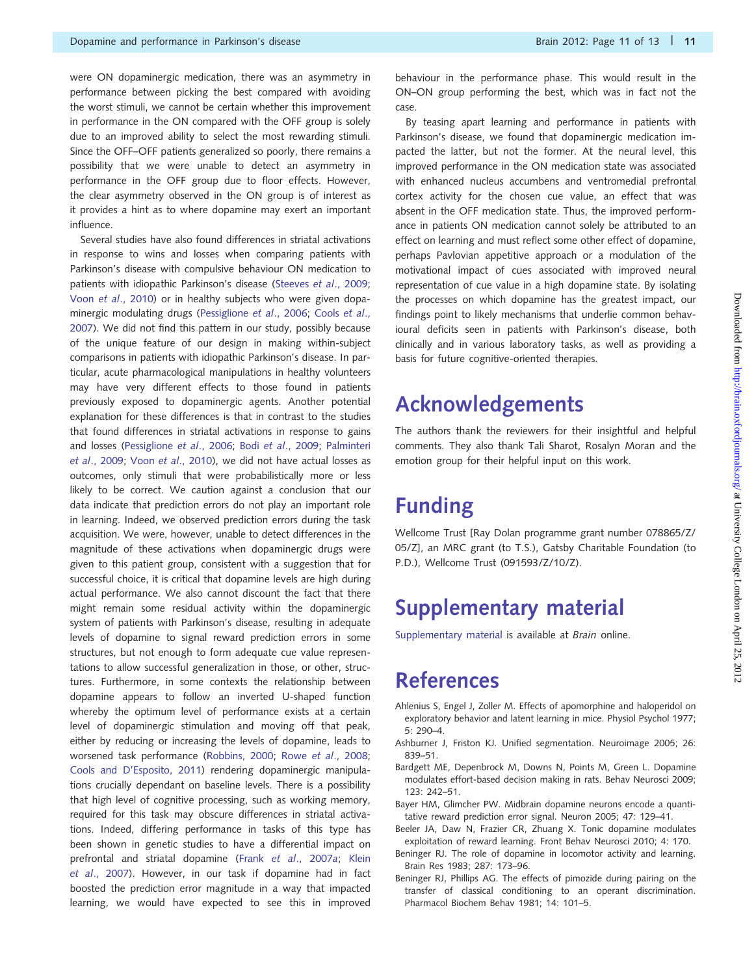<span id="page-10-0"></span>were ON dopaminergic medication, there was an asymmetry in performance between picking the best compared with avoiding the worst stimuli, we cannot be certain whether this improvement in performance in the ON compared with the OFF group is solely due to an improved ability to select the most rewarding stimuli. Since the OFF–OFF patients generalized so poorly, there remains a possibility that we were unable to detect an asymmetry in performance in the OFF group due to floor effects. However, the clear asymmetry observed in the ON group is of interest as it provides a hint as to where dopamine may exert an important influence.

Several studies have also found differences in striatal activations in response to wins and losses when comparing patients with Parkinson's disease with compulsive behaviour ON medication to patients with idiopathic Parkinson's disease [\(Steeves](#page-12-0) et al., 2009; Voon et al[., 2010](#page-12-0)) or in healthy subjects who were given dopaminergic modulating drugs [\(Pessiglione](#page-12-0) et al., 2006; [Cools](#page-11-0) et al., [2007](#page-11-0)). We did not find this pattern in our study, possibly because of the unique feature of our design in making within-subject comparisons in patients with idiopathic Parkinson's disease. In particular, acute pharmacological manipulations in healthy volunteers may have very different effects to those found in patients previously exposed to dopaminergic agents. Another potential explanation for these differences is that in contrast to the studies that found differences in striatal activations in response to gains and losses [\(Pessiglione](#page-12-0) et al., 2006; Bodi et al[., 2009;](#page-11-0) [Palminteri](#page-12-0) et al[., 2009](#page-12-0); Voon et al[., 2010](#page-12-0)), we did not have actual losses as outcomes, only stimuli that were probabilistically more or less likely to be correct. We caution against a conclusion that our data indicate that prediction errors do not play an important role in learning. Indeed, we observed prediction errors during the task acquisition. We were, however, unable to detect differences in the magnitude of these activations when dopaminergic drugs were given to this patient group, consistent with a suggestion that for successful choice, it is critical that dopamine levels are high during actual performance. We also cannot discount the fact that there might remain some residual activity within the dopaminergic system of patients with Parkinson's disease, resulting in adequate levels of dopamine to signal reward prediction errors in some structures, but not enough to form adequate cue value representations to allow successful generalization in those, or other, structures. Furthermore, in some contexts the relationship between dopamine appears to follow an inverted U-shaped function whereby the optimum level of performance exists at a certain level of dopaminergic stimulation and moving off that peak, either by reducing or increasing the levels of dopamine, leads to worsened task performance ([Robbins, 2000;](#page-12-0) Rowe et al[., 2008](#page-12-0); [Cools and D'Esposito, 2011](#page-11-0)) rendering dopaminergic manipulations crucially dependant on baseline levels. There is a possibility that high level of cognitive processing, such as working memory, required for this task may obscure differences in striatal activations. Indeed, differing performance in tasks of this type has been shown in genetic studies to have a differential impact on prefrontal and striatal dopamine (Frank et al[., 2007](#page-11-0)a; [Klein](#page-11-0) et al[., 2007](#page-11-0)). However, in our task if dopamine had in fact boosted the prediction error magnitude in a way that impacted learning, we would have expected to see this in improved behaviour in the performance phase. This would result in the ON–ON group performing the best, which was in fact not the case.

By teasing apart learning and performance in patients with Parkinson's disease, we found that dopaminergic medication impacted the latter, but not the former. At the neural level, this improved performance in the ON medication state was associated with enhanced nucleus accumbens and ventromedial prefrontal cortex activity for the chosen cue value, an effect that was absent in the OFF medication state. Thus, the improved performance in patients ON medication cannot solely be attributed to an effect on learning and must reflect some other effect of dopamine, perhaps Pavlovian appetitive approach or a modulation of the motivational impact of cues associated with improved neural representation of cue value in a high dopamine state. By isolating the processes on which dopamine has the greatest impact, our findings point to likely mechanisms that underlie common behavioural deficits seen in patients with Parkinson's disease, both clinically and in various laboratory tasks, as well as providing a basis for future cognitive-oriented therapies.

## Acknowledgements

The authors thank the reviewers for their insightful and helpful comments. They also thank Tali Sharot, Rosalyn Moran and the emotion group for their helpful input on this work.

## Funding

Wellcome Trust [Ray Dolan programme grant number 078865/Z/ 05/Z], an MRC grant (to T.S.), Gatsby Charitable Foundation (to P.D.), Wellcome Trust (091593/Z/10/Z).

## Supplementary material

[Supplementary material](http://brain.oxfordjournals.org/cgi/content/full/aws083/DC1) is available at Brain online.

## References

- Ahlenius S, Engel J, Zoller M. Effects of apomorphine and haloperidol on exploratory behavior and latent learning in mice. Physiol Psychol 1977; 5: 290–4.
- Ashburner J, Friston KJ. Unified segmentation. Neuroimage 2005; 26: 839–51.
- Bardgett ME, Depenbrock M, Downs N, Points M, Green L. Dopamine modulates effort-based decision making in rats. Behav Neurosci 2009; 123: 242–51.
- Bayer HM, Glimcher PW. Midbrain dopamine neurons encode a quantitative reward prediction error signal. Neuron 2005; 47: 129–41.
- Beeler JA, Daw N, Frazier CR, Zhuang X. Tonic dopamine modulates exploitation of reward learning. Front Behav Neurosci 2010; 4: 170.
- Beninger RJ. The role of dopamine in locomotor activity and learning. Brain Res 1983; 287: 173–96.
- Beninger RJ, Phillips AG. The effects of pimozide during pairing on the transfer of classical conditioning to an operant discrimination. Pharmacol Biochem Behav 1981; 14: 101–5.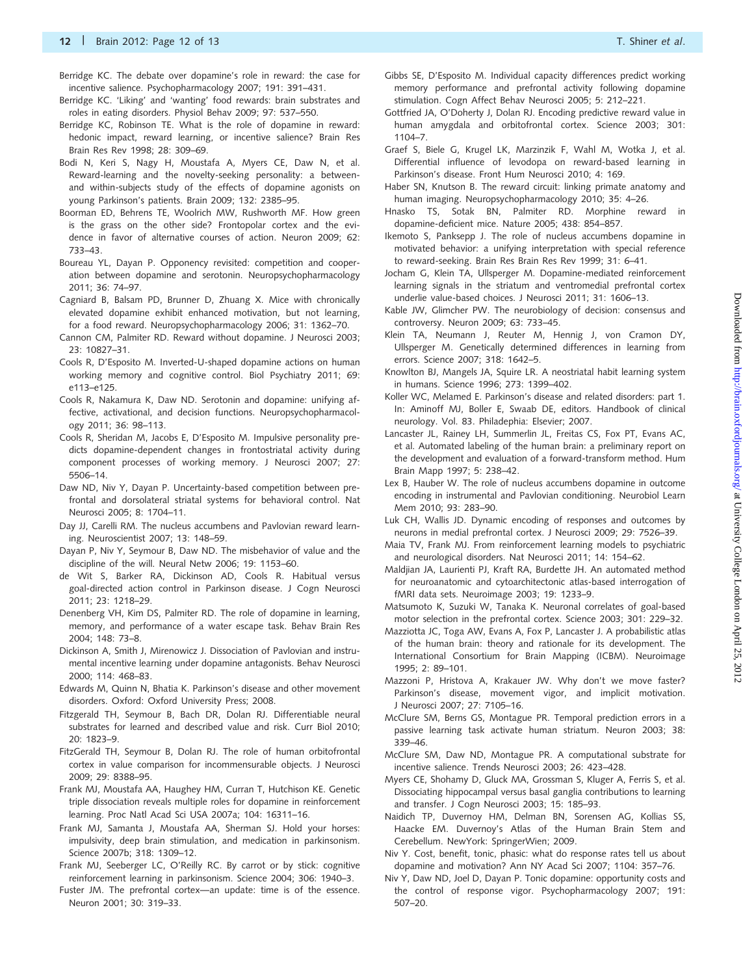- <span id="page-11-0"></span>Berridge KC. The debate over dopamine's role in reward: the case for incentive salience. Psychopharmacology 2007; 191: 391–431.
- Berridge KC. 'Liking' and 'wanting' food rewards: brain substrates and roles in eating disorders. Physiol Behav 2009; 97: 537–550.
- Berridge KC, Robinson TE. What is the role of dopamine in reward: hedonic impact, reward learning, or incentive salience? Brain Res Brain Res Rev 1998; 28: 309–69.
- Bodi N, Keri S, Nagy H, Moustafa A, Myers CE, Daw N, et al. Reward-learning and the novelty-seeking personality: a betweenand within-subjects study of the effects of dopamine agonists on young Parkinson's patients. Brain 2009; 132: 2385–95.
- Boorman ED, Behrens TE, Woolrich MW, Rushworth MF. How green is the grass on the other side? Frontopolar cortex and the evidence in favor of alternative courses of action. Neuron 2009; 62: 733–43.
- Boureau YL, Dayan P. Opponency revisited: competition and cooperation between dopamine and serotonin. Neuropsychopharmacology 2011; 36: 74–97.
- Cagniard B, Balsam PD, Brunner D, Zhuang X. Mice with chronically elevated dopamine exhibit enhanced motivation, but not learning, for a food reward. Neuropsychopharmacology 2006; 31: 1362–70.
- Cannon CM, Palmiter RD. Reward without dopamine. J Neurosci 2003; 23: 10827–31.
- Cools R, D'Esposito M. Inverted-U-shaped dopamine actions on human working memory and cognitive control. Biol Psychiatry 2011; 69: e113–e125.
- Cools R, Nakamura K, Daw ND. Serotonin and dopamine: unifying affective, activational, and decision functions. Neuropsychopharmacology 2011; 36: 98–113.
- Cools R, Sheridan M, Jacobs E, D'Esposito M. Impulsive personality predicts dopamine-dependent changes in frontostriatal activity during component processes of working memory. J Neurosci 2007; 27: 5506–14.
- Daw ND, Niv Y, Dayan P. Uncertainty-based competition between prefrontal and dorsolateral striatal systems for behavioral control. Nat Neurosci 2005; 8: 1704–11.
- Day JJ, Carelli RM. The nucleus accumbens and Pavlovian reward learning. Neuroscientist 2007; 13: 148–59.
- Dayan P, Niv Y, Seymour B, Daw ND. The misbehavior of value and the discipline of the will. Neural Netw 2006; 19: 1153–60.
- de Wit S, Barker RA, Dickinson AD, Cools R. Habitual versus goal-directed action control in Parkinson disease. J Cogn Neurosci 2011; 23: 1218–29.
- Denenberg VH, Kim DS, Palmiter RD. The role of dopamine in learning, memory, and performance of a water escape task. Behav Brain Res 2004; 148: 73–8.
- Dickinson A, Smith J, Mirenowicz J. Dissociation of Pavlovian and instrumental incentive learning under dopamine antagonists. Behav Neurosci 2000; 114: 468–83.
- Edwards M, Quinn N, Bhatia K. Parkinson's disease and other movement disorders. Oxford: Oxford University Press; 2008.
- Fitzgerald TH, Seymour B, Bach DR, Dolan RJ. Differentiable neural substrates for learned and described value and risk. Curr Biol 2010; 20: 1823–9.
- FitzGerald TH, Seymour B, Dolan RJ. The role of human orbitofrontal cortex in value comparison for incommensurable objects. J Neurosci 2009; 29: 8388–95.
- Frank MJ, Moustafa AA, Haughey HM, Curran T, Hutchison KE. Genetic triple dissociation reveals multiple roles for dopamine in reinforcement learning. Proc Natl Acad Sci USA 2007a; 104: 16311–16.
- Frank MJ, Samanta J, Moustafa AA, Sherman SJ. Hold your horses: impulsivity, deep brain stimulation, and medication in parkinsonism. Science 2007b; 318: 1309–12.
- Frank MJ, Seeberger LC, O'Reilly RC. By carrot or by stick: cognitive reinforcement learning in parkinsonism. Science 2004; 306: 1940–3.
- Fuster JM. The prefrontal cortex—an update: time is of the essence. Neuron 2001; 30: 319–33.
- Gibbs SE, D'Esposito M. Individual capacity differences predict working memory performance and prefrontal activity following dopamine stimulation. Cogn Affect Behav Neurosci 2005; 5: 212–221.
- Gottfried JA, O'Doherty J, Dolan RJ. Encoding predictive reward value in human amygdala and orbitofrontal cortex. Science 2003; 301: 1104–7.
- Graef S, Biele G, Krugel LK, Marzinzik F, Wahl M, Wotka J, et al. Differential influence of levodopa on reward-based learning in Parkinson's disease. Front Hum Neurosci 2010; 4: 169.
- Haber SN, Knutson B. The reward circuit: linking primate anatomy and human imaging. Neuropsychopharmacology 2010; 35: 4–26.
- Hnasko TS, Sotak BN, Palmiter RD. Morphine reward in dopamine-deficient mice. Nature 2005; 438: 854–857.
- Ikemoto S, Panksepp J. The role of nucleus accumbens dopamine in motivated behavior: a unifying interpretation with special reference to reward-seeking. Brain Res Brain Res Rev 1999; 31: 6–41.
- Jocham G, Klein TA, Ullsperger M. Dopamine-mediated reinforcement learning signals in the striatum and ventromedial prefrontal cortex underlie value-based choices. J Neurosci 2011; 31: 1606–13.
- Kable JW, Glimcher PW. The neurobiology of decision: consensus and controversy. Neuron 2009; 63: 733–45.
- Klein TA, Neumann J, Reuter M, Hennig J, von Cramon DY, Ullsperger M. Genetically determined differences in learning from errors. Science 2007; 318: 1642–5.
- Knowlton BJ, Mangels JA, Squire LR. A neostriatal habit learning system in humans. Science 1996; 273: 1399–402.
- Koller WC, Melamed E. Parkinson's disease and related disorders: part 1. In: Aminoff MJ, Boller E, Swaab DE, editors. Handbook of clinical neurology. Vol. 83. Philadephia: Elsevier; 2007.
- Lancaster JL, Rainey LH, Summerlin JL, Freitas CS, Fox PT, Evans AC, et al. Automated labeling of the human brain: a preliminary report on the development and evaluation of a forward-transform method. Hum Brain Mapp 1997; 5: 238–42.
- Lex B, Hauber W. The role of nucleus accumbens dopamine in outcome encoding in instrumental and Pavlovian conditioning. Neurobiol Learn Mem 2010; 93: 283–90.
- Luk CH, Wallis JD. Dynamic encoding of responses and outcomes by neurons in medial prefrontal cortex. J Neurosci 2009; 29: 7526–39.
- Maia TV, Frank MJ. From reinforcement learning models to psychiatric and neurological disorders. Nat Neurosci 2011; 14: 154–62.
- Maldjian JA, Laurienti PJ, Kraft RA, Burdette JH. An automated method for neuroanatomic and cytoarchitectonic atlas-based interrogation of fMRI data sets. Neuroimage 2003; 19: 1233–9.
- Matsumoto K, Suzuki W, Tanaka K. Neuronal correlates of goal-based motor selection in the prefrontal cortex. Science 2003; 301: 229–32.
- Mazziotta JC, Toga AW, Evans A, Fox P, Lancaster J. A probabilistic atlas of the human brain: theory and rationale for its development. The International Consortium for Brain Mapping (ICBM). Neuroimage 1995; 2: 89–101.
- Mazzoni P, Hristova A, Krakauer JW. Why don't we move faster? Parkinson's disease, movement vigor, and implicit motivation. J Neurosci 2007; 27: 7105–16.
- McClure SM, Berns GS, Montague PR. Temporal prediction errors in a passive learning task activate human striatum. Neuron 2003; 38: 339–46.
- McClure SM, Daw ND, Montague PR. A computational substrate for incentive salience. Trends Neurosci 2003; 26: 423–428.
- Myers CE, Shohamy D, Gluck MA, Grossman S, Kluger A, Ferris S, et al. Dissociating hippocampal versus basal ganglia contributions to learning and transfer. J Cogn Neurosci 2003; 15: 185–93.
- Naidich TP, Duvernoy HM, Delman BN, Sorensen AG, Kollias SS, Haacke EM. Duvernoy's Atlas of the Human Brain Stem and Cerebellum. NewYork: SpringerWien; 2009.
- Niv Y. Cost, benefit, tonic, phasic: what do response rates tell us about dopamine and motivation? Ann NY Acad Sci 2007; 1104: 357–76.
- Niv Y, Daw ND, Joel D, Dayan P. Tonic dopamine: opportunity costs and the control of response vigor. Psychopharmacology 2007; 191: 507–20.